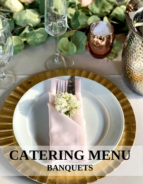# **CATERING MENU BANQUETS**

í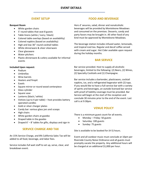#### **EVENT SETUP**

#### **Banquet Room**

- White garden chairs
- 5' round tables that seat 8 guests
- Table linens (white / ivory / black)
- Colored table overlays (based on availability)
- Colored napkins (based on availability)
- High and low 36" round cocktail tables
- White dinnerware & silver silverware
- Clear glassware
- Water pitchers
- Plastic dinnerware & cutlery available for informal events

#### **Included Upon request:**

- Podium
- Umbrellas
- Wine barrels
- Heaters and firepit
- Easels
- Square mirror or round wood centerpiece
- Glass cylinder
- Square vase
- Lanterns (black / white)
- Votives (up to 4 per table) host provides battery operated candles
- Gold or silver charger plates
- Candy bar: various glass jars and scoops
- High chairs
- White garden chairs at gazebo
- Draped table in the gazebo
- Draped 6' 8' tables for gifts, displays and sign-in

#### **SERVICE CHARGE AND TAX**

An 15% Service Charge, and 8% California Sales Tax will be added to all food, beverage, and labor fees.

Service includes full wait staff to set up, serve, clear, and breakdown event.

#### **FOOD AND BEVERAGE**

Hors d' oeuvres, salad, dinner and nonalcoholic beverages will be provided by Monteleone Meadows and consumed on the premises. Desserts, candy and party favors may be brought in. All other food of any kind must be approved by Monteleone Meadows.

The beverage station includes infused water, lemonade, and tropical iced tea. Regular and decaf coffee served with cream and sugar. Hot Cider available upon request during the holiday months.

#### **BAR SERVICE**

Bar service provided. Host to supply all alcoholic beverages, limited to the following: (2) Beers, (2) Wines, (2) Specialty Cocktails and (1) Champagne.

Bar service includes a bartender, plasticware, cocktail napkins, ice, and a refrigerated kegerator with (2) taps. If you would like to have a full-service bar with a variety of spirits and beverages, an outside licensed bar service with proof of liability coverage must be provided. Bar Service will begin at the start of the reception and conclude 30 minutes prior to the end of the event. Last call is at 9:30pm.

#### **VENUE POLICY**

There is a minimum guest count for all events.

- Monday Friday: 50 guests
- Saturday: 100 guests
- Sunday: 75 guests

Site is available to be booked for (4-5) hours.

Event and all outdoor music must conclude at 10pm per Riverside County Noise Ordinance and all guests must promptly vacate the property. Any additional hours will be charged at an additional \$1,000 per hour.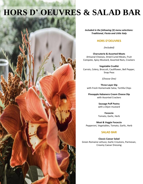# **HORS D' OEUVRES & SALAD BAR**



*Included in the following (3) menu selections: Traditional, Fiesta and Little Italy* 

### **HORS D'OEUVRES**

*(Included)*

**Charcuterie & Assorted Meats** Artisanal Cheeses, Dried Cured Meats, Fruit Compote, Spicy Mustard, Assorted Nuts, Crackers

**Vegetable Crudité** Carrots, Celery, Broccoli, Cauliflower, Bell Pepper, Snap Peas

*(Choose One)*

**Three Layer Dip** with Fresh Homemade Salsa, Tortilla Chips

**Pineapple Habanero Cream Cheese Dip** with Assorted Crackers

> **Sausage Puff Pastry** with a Dijon mustard

> **Focaccia** Tomato, Garlic, Herb

**Meat & Veggie Focaccia** Pepperoni, Vegetables, Tomato, Garlic, Herb

#### **SALAD BAR**

**Classic Caesar Salad**  Green Romaine Lettuce, Garlic Croutons, Parmesan, Creamy Caesar Dressing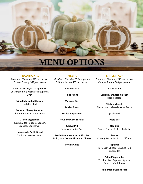

#### **TRADITIONAL**

*Monday – Thursday \$55 p*er person *Friday - Sunday \$65 p*er person

**Santa Maria Style Tri-Tip Roast** Charbroiled in a Mesquite BBQ Brick Oven

> **Grilled Marinated Chicken** Herb Roasted

**Gourmet Cheesy Potatoes** Cheddar Cheese, Green Onion

**Grilled Vegetables** Zucchini, Bell Peppers, Squash, Broccoli, Cauliflower

**Homemade Garlic Bread** Garlic Parmesan Crusted

**FIESTA**

*Monday – Thursday \$55 p*er person *Friday - Sunday \$65 p*er person

**Carne Asada**

**Pollo Asada**

**Mexican Rice**

**Refried Beans**

**Grilled Vegetables**

**Flour and Corn Tortillas**

**SALSA BAR** *(In place of salad bar)*

**Fresh Homemade Salsa, Pico De Gallo, Sour Cream, Shredded Cheese**

**Tortilla Chips**

### **LITTLE ITALY**

*Monday – Thursday \$50 p*er person *Friday - Sunday* \$60 *p*er person

*(Choose One)*

**Grilled Marinated Chicken** Herb Roasted

**Chicken Marsala**  Mushrooms, Marsala Wine Sauce

*(Included)*

**Pasta Bar** 

**Noodles**  Penne, Cheese Stuffed Tortellini

**Sauces** Creamy Pesto, Marinara, Alfredo

**Toppings**  Parmesan Cheese, Crushed Red Pepper, Basil

**Grilled Vegetables**  Zucchini, Bell Peppers, Squash, Broccoli, Cauliflower

**Homemade Garlic Bread**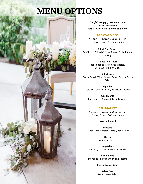## **MENU OPTIONS**

*The following (2) menu selections do not include an hors d' oeuvres station or a salad bar.*

#### **BACKYARD BBQ**

*Monday – Thursday \$35 p*er person *Friday - Sunday* \$45 *p*er person

**Select One Entrée:** Beef Patty, Grilled Chicken Breast, Grilled Brats, Hot Dogs

> **Select Two Sides:** Baked Beans, Grilled Vegetables, Corn, Watermelon Slices

**Select One:** Caesar Salad, Mixed Greens Salad, Potato, Pasta Salad

**Vegetables** Lettuce, Tomato, Onion, American Cheese

**Condiments** Mayonnaise, Mustard, Dijon Mustard

#### **DELI MARKET**

*Monday – Thursday \$35 p*er person *Friday - Sunday* \$45 *p*er person

**Assorted Bread**

**Proteins** Honey Ham, Roasted Turkey, Roast Beef

> **Cheese** American, Swiss

**Vegetables** Lettuce, Tomato, Red Onion, Pickle

**Condiments** Mayonnaise, Mustard, Dijon Mustard

**Classic Caesar Salad**

**Select One:** Potato Pasta Salad